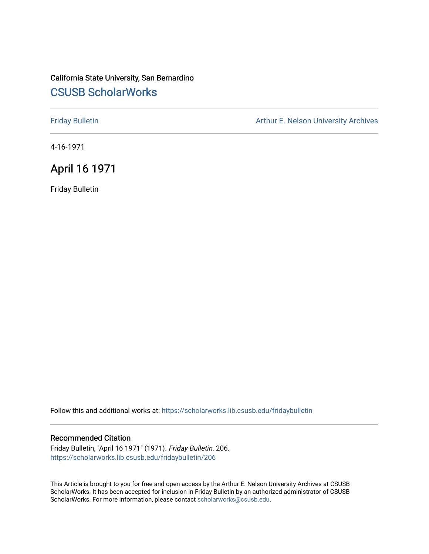#### California State University, San Bernardino [CSUSB ScholarWorks](https://scholarworks.lib.csusb.edu/)

[Friday Bulletin](https://scholarworks.lib.csusb.edu/fridaybulletin) **Arthur E. Nelson University Archives** Arthur E. Nelson University Archives

4-16-1971

### April 16 1971

Friday Bulletin

Follow this and additional works at: [https://scholarworks.lib.csusb.edu/fridaybulletin](https://scholarworks.lib.csusb.edu/fridaybulletin?utm_source=scholarworks.lib.csusb.edu%2Ffridaybulletin%2F206&utm_medium=PDF&utm_campaign=PDFCoverPages)

#### Recommended Citation

Friday Bulletin, "April 16 1971" (1971). Friday Bulletin. 206. [https://scholarworks.lib.csusb.edu/fridaybulletin/206](https://scholarworks.lib.csusb.edu/fridaybulletin/206?utm_source=scholarworks.lib.csusb.edu%2Ffridaybulletin%2F206&utm_medium=PDF&utm_campaign=PDFCoverPages)

This Article is brought to you for free and open access by the Arthur E. Nelson University Archives at CSUSB ScholarWorks. It has been accepted for inclusion in Friday Bulletin by an authorized administrator of CSUSB ScholarWorks. For more information, please contact [scholarworks@csusb.edu.](mailto:scholarworks@csusb.edu)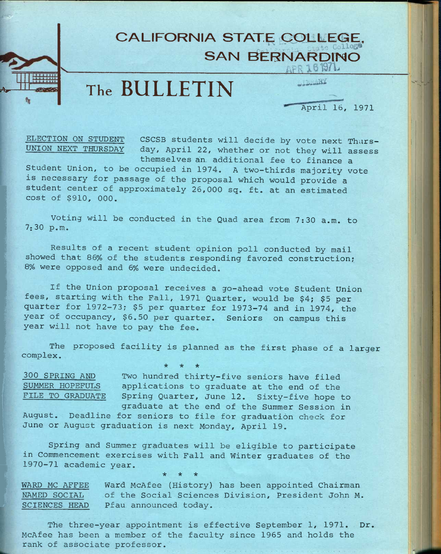## **CALIFORNIA STATE COLLEG SAN BERNARDINO**  $_{\Lambda}$ PR 161971.

# **The BULLETIN**

**THE ARY** 

April 16, 1971

V-

ELECTION ON STUDENT CSCSB students will decide by vote next Thurs-<br>UNION NEXT THURSDAY day, April 22, whether or not they will assess day, April 22, whether or not they will assess themselves an- additional fee to finance a

Student Union, to be occupied in 1974. A two-thirds majority vote is necessary for passage of the proposal which would provide a student center of approximately 26,000 sq. ft. at an estimated cost of \$910, 000.

Voting will be conducted in the Quad area from 7:30 a.m. to 7:30 p.m.

Results of a recent student opinion poll conducted by mail showed that 86% of the students responding favored construction; 8% were opposed and 6% were undecided.

If the Union proposal receives a go-ahead vote Student Union fees, starting with the Fall, 1971 Quarter, would be \$4; \$5 per quarter for 1972-73; \$5 per quarter for 1973-74 and in 1974, the year of occupancy, \$6.50 per quarter. Seniors on campus this year will not have to pay the fee.

The proposed facility is planned as the first phase of a larger complex. **\* \* \*** 

300 SPRING AND Two hundred thirty-five seniors have filed SUMMER HOPEFULS applications to graduate at the end of the FILE TO GRADUATE Spring Quarter, June 12. Sixty-five hope to graduate at the end of the Summer Session in

August. Deadline for seniors to file for graduation check for June or August graduation is next Monday, April 19.

Spring and Summer graduates will be eligible to participate in Commencement exercises with Fall and Winter graduates of the 1970-71 academic year. **\* \* \*** 

WARD MC AFFEE Ward McAfee (History) has been appointed Chairman NAMED SOCIAL of the Social Sciences Division, President John M. SCIENCES HEAD Pfau announced today.

The three-year appointment is effective September 1, 1971. Dr. McAfee has been a member of the faculty since 1965 and holds the rank of associate professor.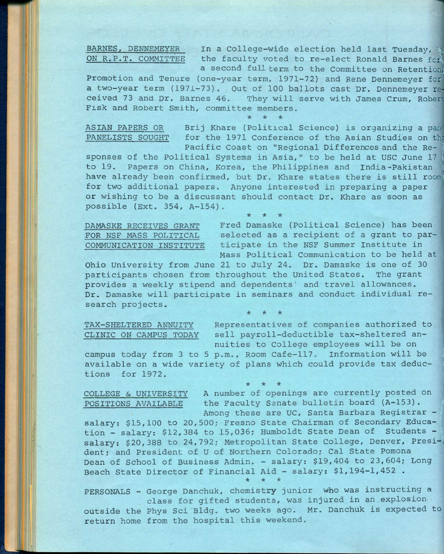BARNES, DENNEMEYER In a College-wide election held last Tuesday, ON R.P.T. COMMITTEE the faculty voted to re-elect Ronald Barnes fcrl a second full term to the Committee on Retention,

Promotion and Tenure (one-year term, 1971-72) and Rene Dennemeyer for a two-year term (1971-73). Out of 100 ballots cast Dr. Dennemeyer received 73 and Dr. Barnes 46. They will serve with James Crum, Robert Fisk and Robert Smith, committee members.

**\* \* \*** 

ASIAN PAPERS OR Brij Khare (Political Science) is organizing a pane PANELISTS SOUGHT for the 1971 Conference of the Asian Studies on the Pacific Coast on "Regional Differences and the Re- **<sup>I</sup>**

sponses of the Political Systems in Asia," to be held at USC June 17 **<sup>I</sup>** Pacific Coast on "Regional Differences and the Re-<br>sponses of the Political Systems in Asia," to be held at USC June 17<br>to 19. Papers on China, Korea, the Philippines and India-Pakistan<br>have already been confirmed, but Dr. have already been confirmed, but Dr. Khare states there is still room for two additional papers. Anyone interested in preparing a paper or wishing to be a discussant should contact Dr. Khare as soon as possible (Ext. 354, A-154).

**\* \* \*** 

DAMASKE RECEIVES GRANT Fred Damaske (Political Science) has been FOR NSF MASS POLITICAL selected as a recipient of a grant to par-COMMUNICATION INSTITUTE ticipate in the NSF Summer Institute in Mass Political Communication to be held at

Ohio University from June 21 to July 24. Dr. Damaske is one of 30 participants chosen from throughout the United States. The grant provides a weekly stipend and dependents' and travel allowances. Dr. Damaske will participate in seminars and conduct individual research projects.

**\* \* \*** 

TAX-SHELTERED ANNUITY Representatives of companies authorized to CLINIC ON CAMPUS TODAY sell payroll-deductible tax-sheltered annuities to College employees will be on

campus today from 3 to 5 p.m.. Room Cafe-117. Information will be **<sup>1</sup>** available on a wide variety of plans which could provide tax deduc- **<sup>I</sup>** tions for 1972.

POSITIONS AVAILABLE

COLLEGE & UNIVERSITY A number of openings are currently posted on Among these are UC, Santa Barbara Registrar -Faculty Senate bulletin board (A-153). |

\* \* \* !

salary: \$15,100 to 20,500; Fresno State Chairman of Secondary Education - salary: \$12,384 to 15,036; Humboldt State Dean of Students salary: \$20,388 to 24,792; Metropolitan State College, Denver, Presi-) dent; and President of U of Northern Colorado; Cal State Pomona Dean of School of Business Admin. - salary: \$19,404 to 23,604; Long Beach State Director of Financial Aid - salary:  $$1,194-1,452$ .

**\* \* \*** 

PERSONALS - George Danchuk, chemistry junior who was instructing a class for gifted students, was injured in an explosion outside the Phys Sci Bldg. two weeks ago. Mr. Danchuk is expected to return home from the hospital this weekend.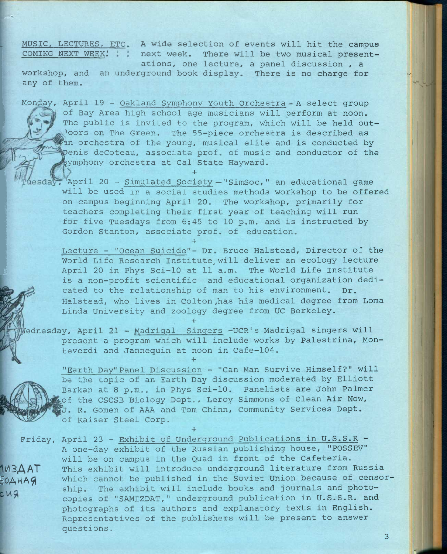MUSIC, LECTURES, ETC. A wide selection of events will hit the campus COMING NEXT WEEK! ! : next week. There will be two musical presentations, one lecture, a panel discussion , a

workshop, and an underground book display. There is no charge for any of them.

Monday, April 19 - Oakland Symphony Youth Orchestra- A select group of Bay Area high school age musicians will perform at noon. The public is invited to the program, which will be held outloors on The Green. The 55-piece orchestra is described as an orchestra of the young, musical elite and is conducted by )enis deCoteau, associate prof, of music and conductor of the jymphony orchestra at Cal State Hayward. **+** 

esday, April 20 - Simulated Society - "SimSoc," an educational game will be used in a social studies methods workshop to be offered on campus beginning April 20. The workshop, primarily for teachers completing their first year of teaching will run for five Tuesdays from 5:45 to 10 p.m. and is instructed by Gordon Stanton, associate prof, of education,

Lecture - "Ocean Suicide"- Dr. Bruce Halstead, Director of the World Life Research Institute will deliver an ecology lecture April 20 in Phys Sci-10 at 11 a.m. The World Life Institute is a non-profit scientific and educational organization dedicated to the relationship of man to his environment. Dr. Halstead, who lives in Colton ,has his medical degree from Loma Linda University and zoology degree from UC Berkeley.

Vednesday, April 21 - Madrigal Singers -UCR's Madrigal singers will present a program which will include works by Palestrina, Monteverdi and Jannequin at noon in Cafe-104.

**+** 

**+** 

**+** 

 $cmg$ 

"Earth Day"Panel Discussion - "Can Man Survive Himself?" will be the topic of an Earth Day discussion moderated by Elliott Barkan at 8 p.m., in Phys Sci-10. Panelists are John Palmer of the CSCSB Biology Dept., Leroy Simmons of Clean Air Now, J. R. Gomen of AAA and Tom Chinn, Community Services Dept. of Kaiser Steel Corp.

**+**  Friday, April 23 - Exhibit of Underground Publications in U.S.S.R - A one-day exhibit of the Russian publishing house, "POSSEV" will be on campus in the Quad in front of the Cafeteria. This exhibit will introduce underground literature from Russia which cannot be published in the Soviet Union because of censorship. The exhibit will include books and journals and photocopies of "SAMIZDAT," underground publication in U.S.S.R. and photographs of its authors and explanatory texts in English. Representatives of the publishers will be present to answer questions, iA3AAT  $50AHAG$ 

3